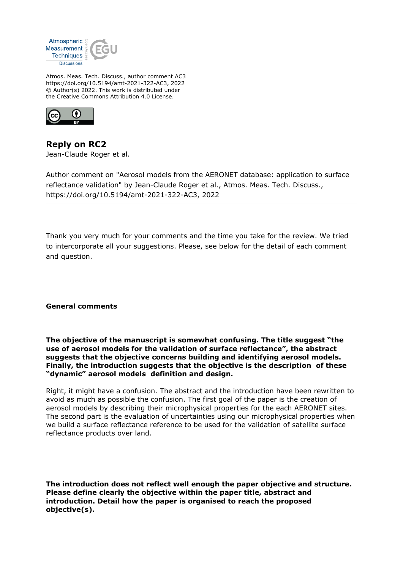

Atmos. Meas. Tech. Discuss., author comment AC3 https://doi.org/10.5194/amt-2021-322-AC3, 2022 © Author(s) 2022. This work is distributed under the Creative Commons Attribution 4.0 License.



**Reply on RC2** Jean-Claude Roger et al.

Author comment on "Aerosol models from the AERONET database: application to surface reflectance validation" by Jean-Claude Roger et al., Atmos. Meas. Tech. Discuss., https://doi.org/10.5194/amt-2021-322-AC3, 2022

Thank you very much for your comments and the time you take for the review. We tried to intercorporate all your suggestions. Please, see below for the detail of each comment and question.

**General comments**

**The objective of the manuscript is somewhat confusing. The title suggest "the use of aerosol models for the validation of surface reflectance", the abstract suggests that the objective concerns building and identifying aerosol models. Finally, the introduction suggests that the objective is the description of these "dynamic" aerosol models definition and design.**

Right, it might have a confusion. The abstract and the introduction have been rewritten to avoid as much as possible the confusion. The first goal of the paper is the creation of aerosol models by describing their microphysical properties for the each AERONET sites. The second part is the evaluation of uncertainties using our microphysical properties when we build a surface reflectance reference to be used for the validation of satellite surface reflectance products over land.

**The introduction does not reflect well enough the paper objective and structure. Please define clearly the objective within the paper title, abstract and introduction. Detail how the paper is organised to reach the proposed objective(s).**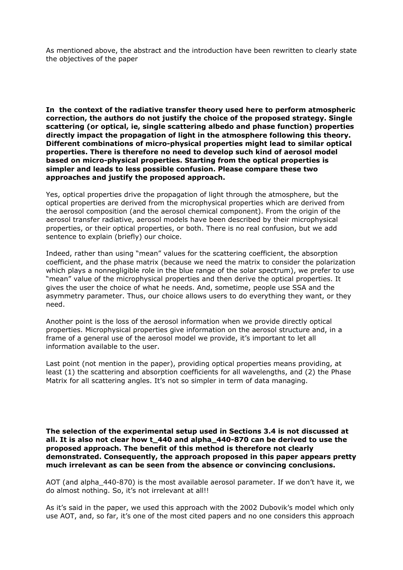As mentioned above, the abstract and the introduction have been rewritten to clearly state the objectives of the paper

**In the context of the radiative transfer theory used here to perform atmospheric correction, the authors do not justify the choice of the proposed strategy. Single scattering (or optical, ie, single scattering albedo and phase function) properties directly impact the propagation of light in the atmosphere following this theory. Different combinations of micro-physical properties might lead to similar optical properties. There is therefore no need to develop such kind of aerosol model based on micro-physical properties. Starting from the optical properties is simpler and leads to less possible confusion. Please compare these two approaches and justify the proposed approach.**

Yes, optical properties drive the propagation of light through the atmosphere, but the optical properties are derived from the microphysical properties which are derived from the aerosol composition (and the aerosol chemical component). From the origin of the aerosol transfer radiative, aerosol models have been described by their microphysical properties, or their optical properties, or both. There is no real confusion, but we add sentence to explain (briefly) our choice.

Indeed, rather than using "mean" values for the scattering coefficient, the absorption coefficient, and the phase matrix (because we need the matrix to consider the polarization which plays a nonnegligible role in the blue range of the solar spectrum), we prefer to use "mean" value of the microphysical properties and then derive the optical properties. It gives the user the choice of what he needs. And, sometime, people use SSA and the asymmetry parameter. Thus, our choice allows users to do everything they want, or they need.

Another point is the loss of the aerosol information when we provide directly optical properties. Microphysical properties give information on the aerosol structure and, in a frame of a general use of the aerosol model we provide, it's important to let all information available to the user.

Last point (not mention in the paper), providing optical properties means providing, at least (1) the scattering and absorption coefficients for all wavelengths, and (2) the Phase Matrix for all scattering angles. It's not so simpler in term of data managing.

**The selection of the experimental setup used in Sections 3.4 is not discussed at all. It is also not clear how t\_440 and alpha\_440-870 can be derived to use the proposed approach. The benefit of this method is therefore not clearly demonstrated. Consequently, the approach proposed in this paper appears pretty much irrelevant as can be seen from the absence or convincing conclusions.**

AOT (and alpha\_440-870) is the most available aerosol parameter. If we don't have it, we do almost nothing. So, it's not irrelevant at all!!

As it's said in the paper, we used this approach with the 2002 Dubovik's model which only use AOT, and, so far, it's one of the most cited papers and no one considers this approach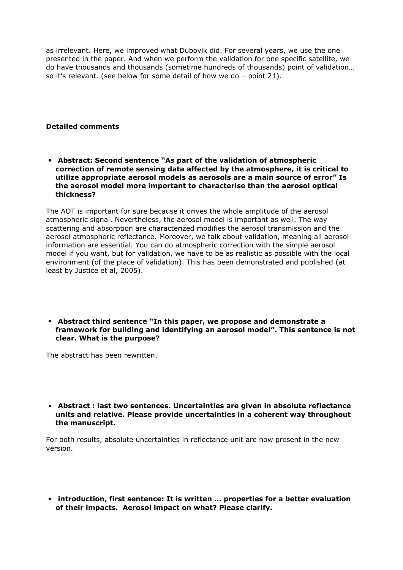as irrelevant. Here, we improved what Dubovik did. For several years, we use the one presented in the paper. And when we perform the validation for one specific satellite, we do have thousands and thousands (sometime hundreds of thousands) point of validation… so it's relevant. (see below for some detail of how we do – point 21).

# **Detailed comments**

**Abstract: Second sentence "As part of the validation of atmospheric correction of remote sensing data affected by the atmosphere, it is critical to utilize appropriate aerosol models as aerosols are a main source of error" Is the aerosol model more important to characterise than the aerosol optical thickness?**

The AOT is important for sure because it drives the whole amplitude of the aerosol atmospheric signal. Nevertheless, the aerosol model is important as well. The way scattering and absorption are characterized modifies the aerosol transmission and the aerosol atmospheric reflectance. Moreover, we talk about validation, meaning all aerosol information are essential. You can do atmospheric correction with the simple aerosol model if you want, but for validation, we have to be as realistic as possible with the local environment (of the place of validation). This has been demonstrated and published (at least by Justice et al, 2005).

**Abstract third sentence "In this paper, we propose and demonstrate a framework for building and identifying an aerosol model". This sentence is not clear. What is the purpose?**

The abstract has been rewritten.

**Abstract : last two sentences. Uncertainties are given in absolute reflectance units and relative. Please provide uncertainties in a coherent way throughout the manuscript.**

For both results, absolute uncertainties in reflectance unit are now present in the new version.

**introduction, first sentence: It is written … properties for a better evaluation of their impacts. Aerosol impact on what? Please clarify.**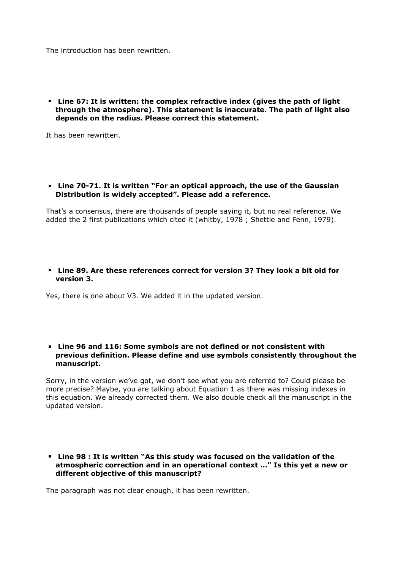The introduction has been rewritten.

**Line 67: It is written: the complex refractive index (gives the path of light through the atmosphere). This statement is inaccurate. The path of light also depends on the radius. Please correct this statement.**

It has been rewritten.

**Line 70-71. It is written "For an optical approach, the use of the Gaussian Distribution is widely accepted". Please add a reference.**

That's a consensus, there are thousands of people saying it, but no real reference. We added the 2 first publications which cited it (whitby, 1978 ; Shettle and Fenn, 1979).

**Line 89. Are these references correct for version 3? They look a bit old for version 3.**

Yes, there is one about V3. We added it in the updated version.

### **Line 96 and 116: Some symbols are not defined or not consistent with previous definition. Please define and use symbols consistently throughout the manuscript.**

Sorry, in the version we've got, we don't see what you are referred to? Could please be more precise? Maybe, you are talking about Equation 1 as there was missing indexes in this equation. We already corrected them. We also double check all the manuscript in the updated version.

**Line 98 : It is written "As this study was focused on the validation of the atmospheric correction and in an operational context …" Is this yet a new or different objective of this manuscript?**

The paragraph was not clear enough, it has been rewritten.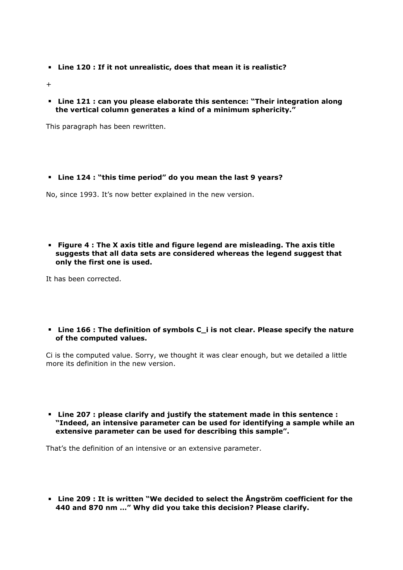**Line 120 : If it not unrealistic, does that mean it is realistic?**

+

**Line 121 : can you please elaborate this sentence: "Their integration along the vertical column generates a kind of a minimum sphericity."**

This paragraph has been rewritten.

**Line 124 : "this time period" do you mean the last 9 years?**

No, since 1993. It's now better explained in the new version.

**Figure 4 : The X axis title and figure legend are misleading. The axis title suggests that all data sets are considered whereas the legend suggest that only the first one is used.**

It has been corrected.

**Line 166 : The definition of symbols C\_i is not clear. Please specify the nature of the computed values.**

Ci is the computed value. Sorry, we thought it was clear enough, but we detailed a little more its definition in the new version.

**Line 207 : please clarify and justify the statement made in this sentence : "Indeed, an intensive parameter can be used for identifying a sample while an extensive parameter can be used for describing this sample".**

That's the definition of an intensive or an extensive parameter.

**Line 209 : It is written "We decided to select the Ångström coefficient for the 440 and 870 nm …" Why did you take this decision? Please clarify.**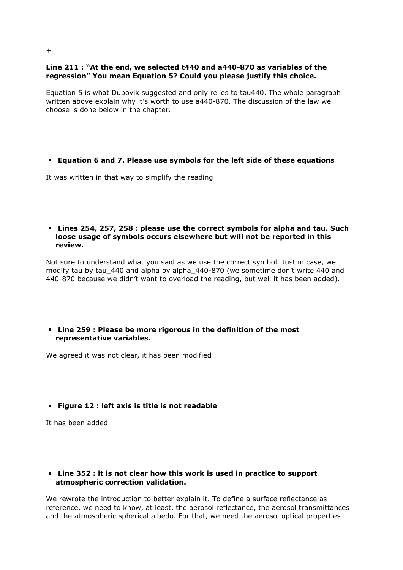### **Line 211 : "At the end, we selected t440 and a440-870 as variables of the regression" You mean Equation 5? Could you please justify this choice.**

Equation 5 is what Dubovik suggested and only relies to tau440. The whole paragraph written above explain why it's worth to use a440-870. The discussion of the law we choose is done below in the chapter.

# **Equation 6 and 7. Please use symbols for the left side of these equations**

It was written in that way to simplify the reading

### **Lines 254, 257, 258 : please use the correct symbols for alpha and tau. Such loose usage of symbols occurs elsewhere but will not be reported in this review.**

Not sure to understand what you said as we use the correct symbol. Just in case, we modify tau by tau\_440 and alpha by alpha\_440-870 (we sometime don't write 440 and 440-870 because we didn't want to overload the reading, but well it has been added).

### **Line 259 : Please be more rigorous in the definition of the most representative variables.**

We agreed it was not clear, it has been modified

# **Figure 12 : left axis is title is not readable**

It has been added

### **Line 352 : it is not clear how this work is used in practice to support atmospheric correction validation.**

We rewrote the introduction to better explain it. To define a surface reflectance as reference, we need to know, at least, the aerosol reflectance, the aerosol transmittances and the atmospheric spherical albedo. For that, we need the aerosol optical properties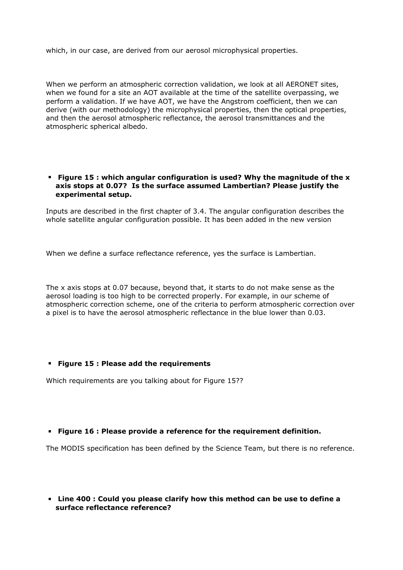which, in our case, are derived from our aerosol microphysical properties.

When we perform an atmospheric correction validation, we look at all AERONET sites, when we found for a site an AOT available at the time of the satellite overpassing, we perform a validation. If we have AOT, we have the Angstrom coefficient, then we can derive (with our methodology) the microphysical properties, then the optical properties, and then the aerosol atmospheric reflectance, the aerosol transmittances and the atmospheric spherical albedo.

## **Figure 15 : which angular configuration is used? Why the magnitude of the x axis stops at 0.07? Is the surface assumed Lambertian? Please justify the experimental setup.**

Inputs are described in the first chapter of 3.4. The angular configuration describes the whole satellite angular configuration possible. It has been added in the new version

When we define a surface reflectance reference, yes the surface is Lambertian.

The x axis stops at 0.07 because, beyond that, it starts to do not make sense as the aerosol loading is too high to be corrected properly. For example, in our scheme of atmospheric correction scheme, one of the criteria to perform atmospheric correction over a pixel is to have the aerosol atmospheric reflectance in the blue lower than 0.03.

### **Figure 15 : Please add the requirements**

Which requirements are you talking about for Figure 15??

### **Figure 16 : Please provide a reference for the requirement definition.**

The MODIS specification has been defined by the Science Team, but there is no reference.

# **Line 400 : Could you please clarify how this method can be use to define a surface reflectance reference?**